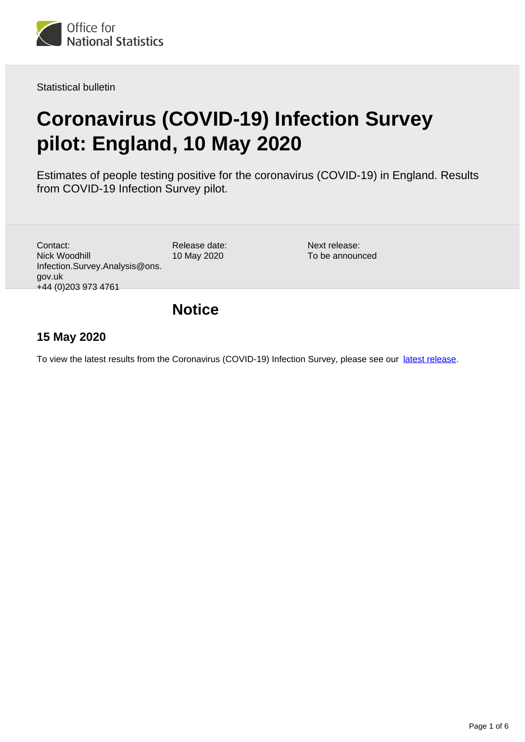

Statistical bulletin

# **Coronavirus (COVID-19) Infection Survey pilot: England, 10 May 2020**

Estimates of people testing positive for the coronavirus (COVID-19) in England. Results from COVID-19 Infection Survey pilot.

| Contact:                       |
|--------------------------------|
| Nick Woodhill                  |
| Infection.Survey.Analysis@ons. |
| gov.uk                         |
| +44 (0) 203 973 4761           |

Release date: 10 May 2020

Next release: To be announced

### **Notice**

### **15 May 2020**

To view the latest results from the Coronavirus (COVID-19) Infection Survey, please see our [latest release.](https://www.ons.gov.uk/peoplepopulationandcommunity/healthandsocialcare/conditionsanddiseases/bulletins/coronaviruscovid19infectionsurveypilot/latest)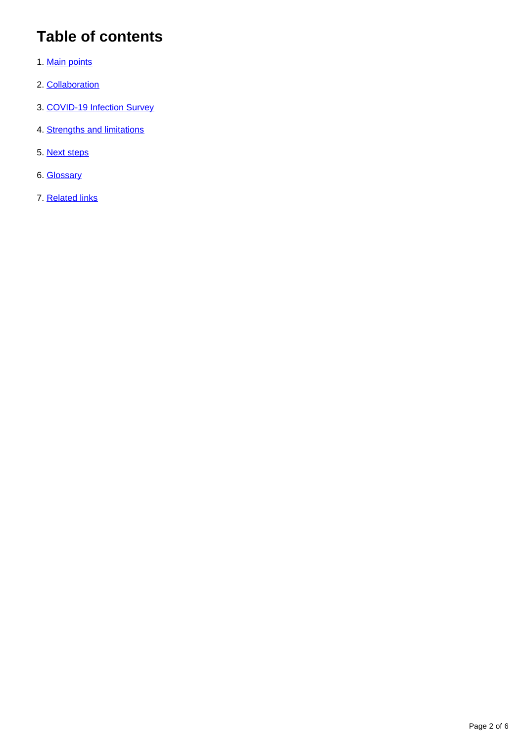## **Table of contents**

- 1. [Main points](#page-2-0)
- 2. [Collaboration](#page-2-1)
- 3. [COVID-19 Infection Survey](#page-2-2)
- 4. [Strengths and limitations](#page-3-0)
- 5. [Next steps](#page-4-0)
- 6. [Glossary](#page-4-1)
- 7. [Related links](#page-5-0)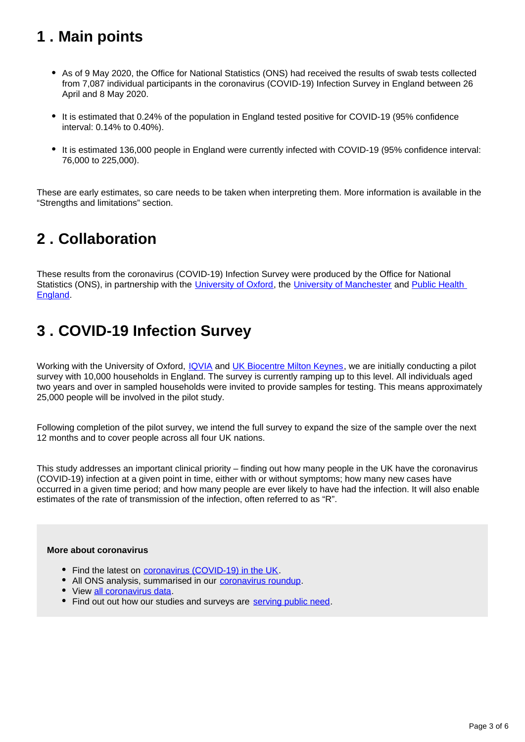## <span id="page-2-0"></span>**1 . Main points**

- As of 9 May 2020, the Office for National Statistics (ONS) had received the results of swab tests collected from 7,087 individual participants in the coronavirus (COVID-19) Infection Survey in England between 26 April and 8 May 2020.
- It is estimated that 0.24% of the population in England tested positive for COVID-19 (95% confidence interval: 0.14% to 0.40%).
- It is estimated 136,000 people in England were currently infected with COVID-19 (95% confidence interval: 76,000 to 225,000).

These are early estimates, so care needs to be taken when interpreting them. More information is available in the "Strengths and limitations" section.

## <span id="page-2-1"></span>**2 . Collaboration**

These results from the coronavirus (COVID-19) Infection Survey were produced by the Office for National Statistics (ONS), in partnership with the [University of Oxford](http://www.ox.ac.uk/), the [University of Manchester](https://www.manchester.ac.uk/) and Public Health [England.](https://www.gov.uk/government/organisations/public-health-england)

## <span id="page-2-2"></span>**3 . COVID-19 Infection Survey**

Working with the University of Oxford, [IQVIA](https://www.iqvia.com/) and [UK Biocentre Milton Keynes](https://www.ukbiocentre.com/), we are initially conducting a pilot survey with 10,000 households in England. The survey is currently ramping up to this level. All individuals aged two years and over in sampled households were invited to provide samples for testing. This means approximately 25,000 people will be involved in the pilot study.

Following completion of the pilot survey, we intend the full survey to expand the size of the sample over the next 12 months and to cover people across all four UK nations.

This study addresses an important clinical priority – finding out how many people in the UK have the coronavirus (COVID-19) infection at a given point in time, either with or without symptoms; how many new cases have occurred in a given time period; and how many people are ever likely to have had the infection. It will also enable estimates of the rate of transmission of the infection, often referred to as "R".

#### **More about coronavirus**

- Find the latest on [coronavirus \(COVID-19\) in the UK](https://www.ons.gov.uk/peoplepopulationandcommunity/healthandsocialcare/conditionsanddiseases).
- All ONS analysis, summarised in our [coronavirus roundup.](https://www.ons.gov.uk/peoplepopulationandcommunity/healthandsocialcare/conditionsanddiseases/articles/coronaviruscovid19roundup/2020-03-26)
- View [all coronavirus data](https://www.ons.gov.uk/peoplepopulationandcommunity/healthandsocialcare/conditionsanddiseases/datalist).
- Find out out how our studies and surveys are [serving public need.](http://ons.gov.uk/surveys)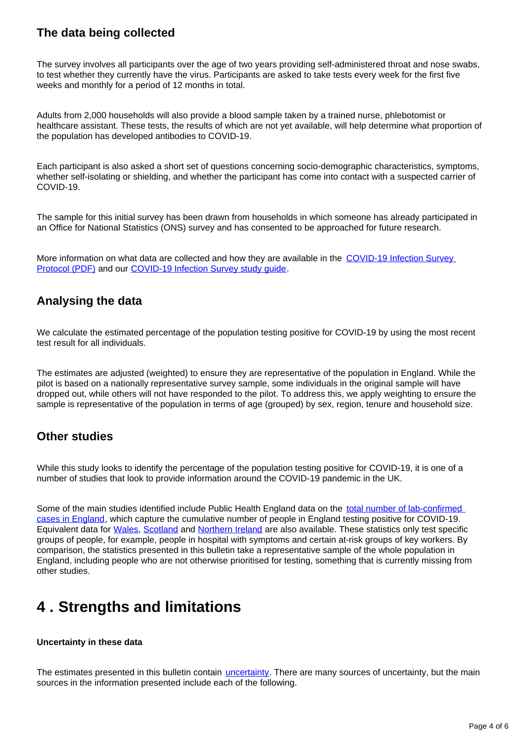### **The data being collected**

The survey involves all participants over the age of two years providing self-administered throat and nose swabs, to test whether they currently have the virus. Participants are asked to take tests every week for the first five weeks and monthly for a period of 12 months in total.

Adults from 2,000 households will also provide a blood sample taken by a trained nurse, phlebotomist or healthcare assistant. These tests, the results of which are not yet available, will help determine what proportion of the population has developed antibodies to COVID-19.

Each participant is also asked a short set of questions concerning socio-demographic characteristics, symptoms, whether self-isolating or shielding, and whether the participant has come into contact with a suspected carrier of COVID-19.

The sample for this initial survey has been drawn from households in which someone has already participated in an Office for National Statistics (ONS) survey and has consented to be approached for future research.

More information on what data are collected and how they are available in the COVID-19 Infection Survey [Protocol \(PDF\)](https://www.ndm.ox.ac.uk/_asset/file/protocol-covid-infection-survey-2020-04-20-v1-0-clean-with-ethics-ref.pdf) and our [COVID-19 Infection Survey study guide](https://www.ons.gov.uk/surveys/informationforhouseholdsandindividuals/householdandindividualsurveys/covid19infectionsurveycis#who-is-carrying-out-the-study).

### **Analysing the data**

We calculate the estimated percentage of the population testing positive for COVID-19 by using the most recent test result for all individuals.

The estimates are adjusted (weighted) to ensure they are representative of the population in England. While the pilot is based on a nationally representative survey sample, some individuals in the original sample will have dropped out, while others will not have responded to the pilot. To address this, we apply weighting to ensure the sample is representative of the population in terms of age (grouped) by sex, region, tenure and household size.

### **Other studies**

While this study looks to identify the percentage of the population testing positive for COVID-19, it is one of a number of studies that look to provide information around the COVID-19 pandemic in the UK.

Some of the main studies identified include Public Health England data on the [total number of lab-confirmed](https://www.gov.uk/guidance/coronavirus-covid-19-information-for-the-public)  [cases in England](https://www.gov.uk/guidance/coronavirus-covid-19-information-for-the-public), which capture the cumulative number of people in England testing positive for COVID-19. Equivalent data for [Wales,](https://public.tableau.com/profile/public.health.wales.health.protection#!/vizhome/RapidCOVID-19virology-Public/Headlinesummary) [Scotland](https://www.gov.scot/publications/coronavirus-covid-19-daily-data-for-scotland/) and [Northern Ireland](https://app.powerbi.com/view?r=eyJrIjoiZGYxNjYzNmUtOTlmZS00ODAxLWE1YTEtMjA0NjZhMzlmN2JmIiwidCI6IjljOWEzMGRlLWQ4ZDctNGFhNC05NjAwLTRiZTc2MjVmZjZjNSIsImMiOjh9) are also available. These statistics only test specific groups of people, for example, people in hospital with symptoms and certain at-risk groups of key workers. By comparison, the statistics presented in this bulletin take a representative sample of the whole population in England, including people who are not otherwise prioritised for testing, something that is currently missing from other studies.

## <span id="page-3-0"></span>**4 . Strengths and limitations**

#### **Uncertainty in these data**

The estimates presented in this bulletin contain [uncertainty](https://www.ons.gov.uk/methodology/methodologytopicsandstatisticalconcepts/uncertaintyandhowwemeasureit). There are many sources of uncertainty, but the main sources in the information presented include each of the following.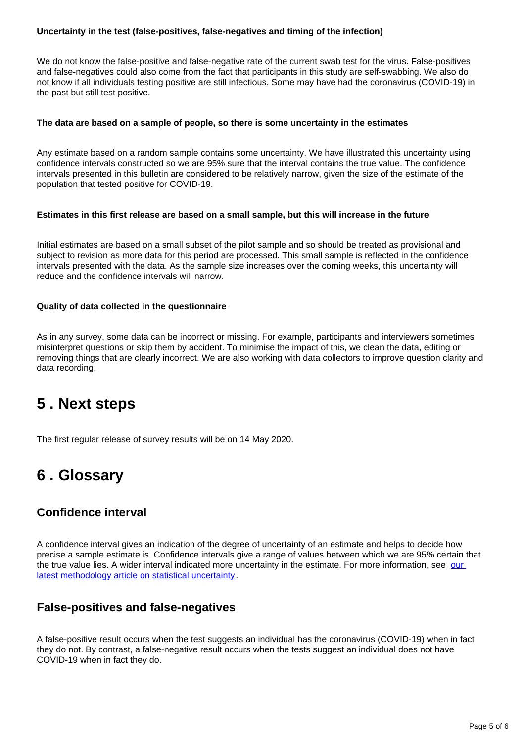#### **Uncertainty in the test (false-positives, false-negatives and timing of the infection)**

We do not know the false-positive and false-negative rate of the current swab test for the virus. False-positives and false-negatives could also come from the fact that participants in this study are self-swabbing. We also do not know if all individuals testing positive are still infectious. Some may have had the coronavirus (COVID-19) in the past but still test positive.

#### **The data are based on a sample of people, so there is some uncertainty in the estimates**

Any estimate based on a random sample contains some uncertainty. We have illustrated this uncertainty using confidence intervals constructed so we are 95% sure that the interval contains the true value. The confidence intervals presented in this bulletin are considered to be relatively narrow, given the size of the estimate of the population that tested positive for COVID-19.

#### **Estimates in this first release are based on a small sample, but this will increase in the future**

Initial estimates are based on a small subset of the pilot sample and so should be treated as provisional and subject to revision as more data for this period are processed. This small sample is reflected in the confidence intervals presented with the data. As the sample size increases over the coming weeks, this uncertainty will reduce and the confidence intervals will narrow.

#### **Quality of data collected in the questionnaire**

As in any survey, some data can be incorrect or missing. For example, participants and interviewers sometimes misinterpret questions or skip them by accident. To minimise the impact of this, we clean the data, editing or removing things that are clearly incorrect. We are also working with data collectors to improve question clarity and data recording.

### <span id="page-4-0"></span>**5 . Next steps**

The first regular release of survey results will be on 14 May 2020.

### <span id="page-4-1"></span>**6 . Glossary**

### **Confidence interval**

A confidence interval gives an indication of the degree of uncertainty of an estimate and helps to decide how precise a sample estimate is. Confidence intervals give a range of values between which we are 95% certain that the true value lies. A wider interval indicated more uncertainty in the estimate. For more information, see our [latest methodology article on statistical uncertainty](https://www.ons.gov.uk/methodology/methodologytopicsandstatisticalconcepts/uncertaintyandhowwemeasureit).

### **False-positives and false-negatives**

A false-positive result occurs when the test suggests an individual has the coronavirus (COVID-19) when in fact they do not. By contrast, a false-negative result occurs when the tests suggest an individual does not have COVID-19 when in fact they do.